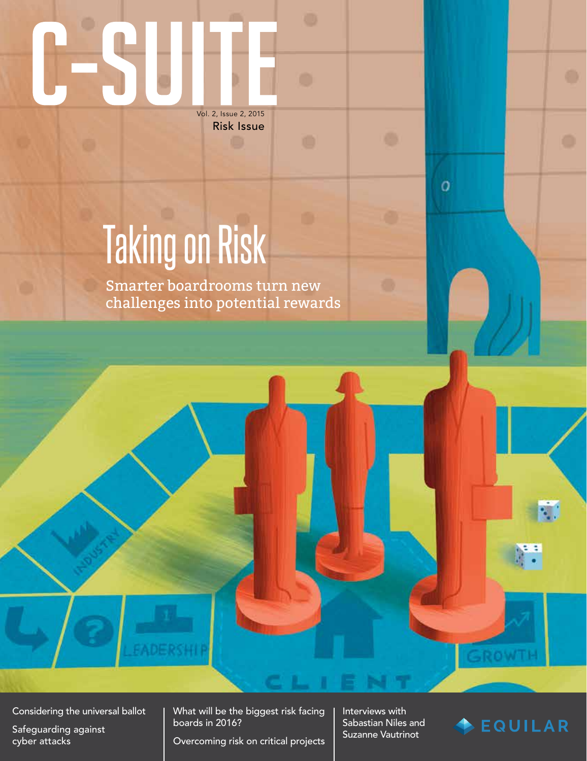## Vol. 2, Issue 2, 2015

Risk Issue

## Taking on Risk

Smarter boardrooms turn new challenges into potential rewards

Considering the universal ballot

Safeguarding against cyber attacks

What will be the biggest risk facing boards in 2016?

Overcoming risk on critical projects

Interviews with Sabastian Niles and Suzanne Vautrinot

 $\overline{O}$ 



**MOV**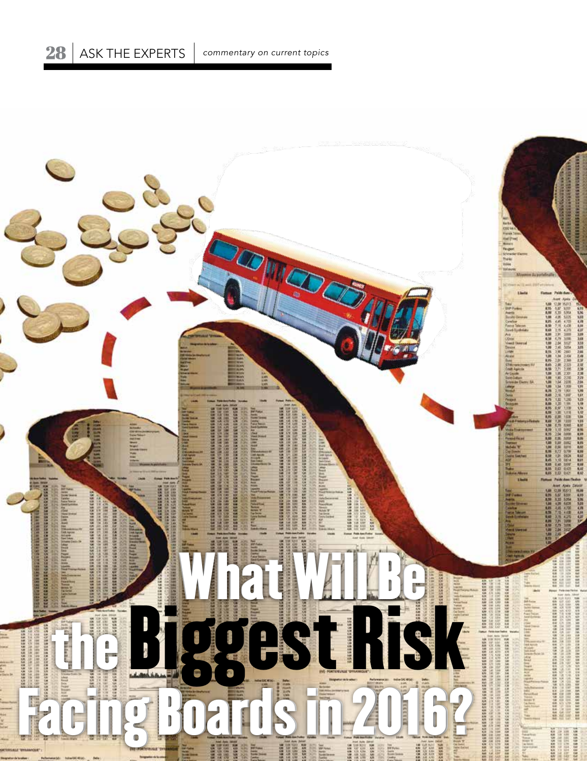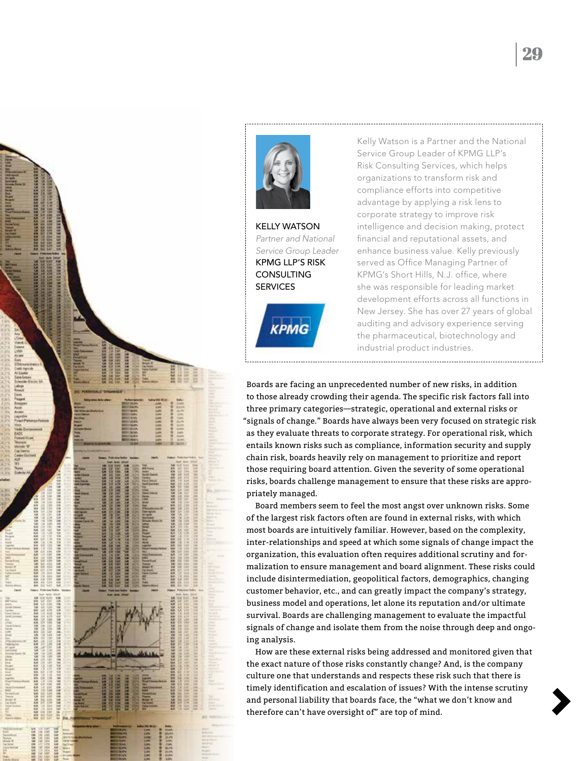



KELLY WATSON *Partner and National Service Group Leader* KPMG LLP'S RISK **CONSULTING SERVICES** 

**KPMG** 

Kelly Watson is a Partner and the National Service Group Leader of KPMG LLP's Risk Consulting Services, which helps organizations to transform risk and compliance efforts into competitive advantage by applying a risk lens to corporate strategy to improve risk intelligence and decision making, protect financial and reputational assets, and enhance business value. Kelly previously served as Office Managing Partner of KPMG's Short Hills, N.J. office, where she was responsible for leading market development efforts across all functions in New Jersey. She has over 27 years of global auditing and advisory experience serving the pharmaceutical, biotechnology and industrial product industries.

Boards are facing an unprecedented number of new risks, in addition to those already crowding their agenda. The specific risk factors fall into three primary categories—strategic, operational and external risks or "signals of change." Boards have always been very focused on strategic risk as they evaluate threats to corporate strategy. For operational risk, which entails known risks such as compliance, information security and supply chain risk, boards heavily rely on management to prioritize and report those requiring board attention. Given the severity of some operational risks, boards challenge management to ensure that these risks are appropriately managed.

Board members seem to feel the most angst over unknown risks. Some of the largest risk factors often are found in external risks, with which most boards are intuitively familiar. However, based on the complexity, inter-relationships and speed at which some signals of change impact the organization, this evaluation often requires additional scrutiny and formalization to ensure management and board alignment. These risks could include disintermediation, geopolitical factors, demographics, changing customer behavior, etc., and can greatly impact the company's strategy, business model and operations, let alone its reputation and/or ultimate survival. Boards are challenging management to evaluate the impactful signals of change and isolate them from the noise through deep and ongoing analysis.

How are these external risks being addressed and monitored given that the exact nature of those risks constantly change? And, is the company culture one that understands and respects these risk such that there is timely identification and escalation of issues? With the intense scrutiny and personal liability that boards face, the "what we don't know and therefore can't have oversight of" are top of mind.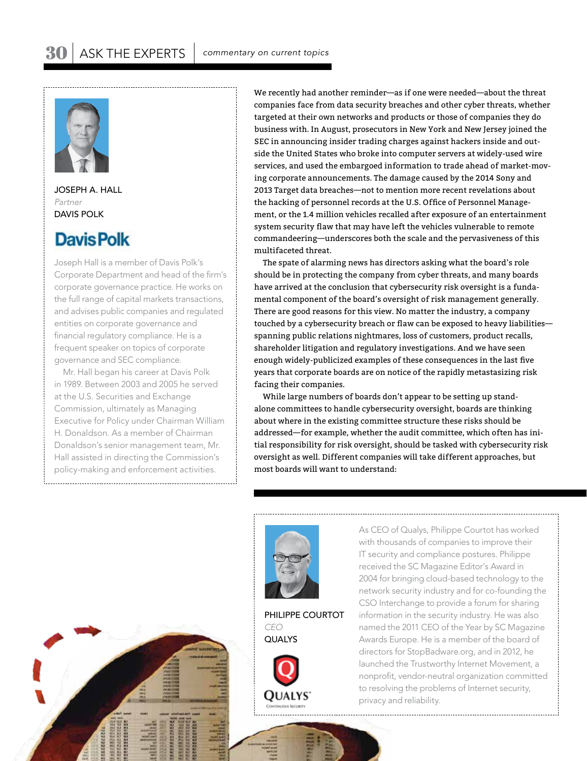

JOSEPH A. HALL *Partner* DAVIS POLK

## **Davis Polk**

Joseph Hall is a member of Davis Polk's Corporate Department and head of the firm's corporate governance practice. He works on the full range of capital markets transactions, and advises public companies and regulated entities on corporate governance and financial regulatory compliance. He is a frequent speaker on topics of corporate governance and SEC compliance.

Mr. Hall began his career at Davis Polk in 1989. Between 2003 and 2005 he served at the U.S. Securities and Exchange Commission, ultimately as Managing Executive for Policy under Chairman William H. Donaldson. As a member of Chairman Donaldson's senior management team, Mr. Hall assisted in directing the Commission's policy-making and enforcement activities.

We recently had another reminder—as if one were needed—about the threat companies face from data security breaches and other cyber threats, whether targeted at their own networks and products or those of companies they do business with. In August, prosecutors in New York and New Jersey joined the SEC in announcing insider trading charges against hackers inside and outside the United States who broke into computer servers at widely-used wire services, and used the embargoed information to trade ahead of market-moving corporate announcements. The damage caused by the 2014 Sony and 2013 Target data breaches—not to mention more recent revelations about the hacking of personnel records at the U.S. Office of Personnel Management, or the 1.4 million vehicles recalled after exposure of an entertainment system security flaw that may have left the vehicles vulnerable to remote commandeering—underscores both the scale and the pervasiveness of this multifaceted threat.

The spate of alarming news has directors asking what the board's role should be in protecting the company from cyber threats, and many boards have arrived at the conclusion that cybersecurity risk oversight is a fundamental component of the board's oversight of risk management generally. There are good reasons for this view. No matter the industry, a company touched by a cybersecurity breach or flaw can be exposed to heavy liabilities spanning public relations nightmares, loss of customers, product recalls, shareholder litigation and regulatory investigations. And we have seen enough widely-publicized examples of these consequences in the last five years that corporate boards are on notice of the rapidly metastasizing risk facing their companies.

While large numbers of boards don't appear to be setting up standalone committees to handle cybersecurity oversight, boards are thinking about where in the existing committee structure these risks should be addressed—for example, whether the audit committee, which often has initial responsibility for risk oversight, should be tasked with cybersecurity risk oversight as well. Different companies will take different approaches, but most boards will want to understand:



PHILIPPE COURTOT *CEO*



As CEO of Qualys, Philippe Courtot has worked with thousands of companies to improve their IT security and compliance postures. Philippe received the SC Magazine Editor's Award in 2004 for bringing cloud-based technology to the network security industry and for co-founding the CSO Interchange to provide a forum for sharing information in the security industry. He was also named the 2011 CEO of the Year by SC Magazine Awards Europe. He is a member of the board of directors for StopBadware.org, and in 2012, he launched the Trustworthy Internet Movement, a nonprofit, vendor-neutral organization committed to resolving the problems of Internet security, privacy and reliability.

QUALYS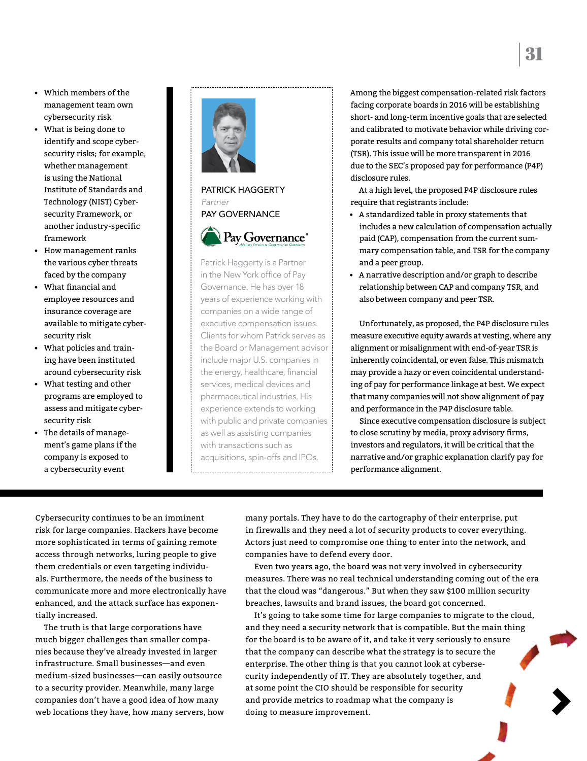- Which members of the management team own cybersecurity risk
- What is being done to identify and scope cybersecurity risks; for example, whether management is using the National Institute of Standards and Technology (NIST) Cybersecurity Framework, or another industry-specific framework
- How management ranks the various cyber threats faced by the company
- What financial and employee resources and insurance coverage are available to mitigate cybersecurity risk
- What policies and training have been instituted around cybersecurity risk
- What testing and other programs are employed to assess and mitigate cybersecurity risk
- The details of management's game plans if the company is exposed to a cybersecurity event





Patrick Haggerty is a Partner in the New York office of Pay Governance. He has over 18 years of experience working with companies on a wide range of executive compensation issues. Clients for whom Patrick serves as the Board or Management advisor include major U.S. companies in the energy, healthcare, financial services, medical devices and pharmaceutical industries. His experience extends to working with public and private companies as well as assisting companies with transactions such as acquisitions, spin-offs and IPOs.

Among the biggest compensation-related risk factors facing corporate boards in 2016 will be establishing short- and long-term incentive goals that are selected and calibrated to motivate behavior while driving corporate results and company total shareholder return (TSR). This issue will be more transparent in 2016 due to the SEC's proposed pay for performance (P4P) disclosure rules.

At a high level, the proposed P4P disclosure rules require that registrants include:

- A standardized table in proxy statements that includes a new calculation of compensation actually paid (CAP), compensation from the current summary compensation table, and TSR for the company and a peer group.
- A narrative description and/or graph to describe relationship between CAP and company TSR, and also between company and peer TSR.

Unfortunately, as proposed, the P4P disclosure rules measure executive equity awards at vesting, where any alignment or misalignment with end-of-year TSR is inherently coincidental, or even false. This mismatch may provide a hazy or even coincidental understanding of pay for performance linkage at best. We expect that many companies will not show alignment of pay and performance in the P4P disclosure table.

Since executive compensation disclosure is subject to close scrutiny by media, proxy advisory firms, investors and regulators, it will be critical that the narrative and/or graphic explanation clarify pay for performance alignment.

Cybersecurity continues to be an imminent risk for large companies. Hackers have become more sophisticated in terms of gaining remote access through networks, luring people to give them credentials or even targeting individuals. Furthermore, the needs of the business to communicate more and more electronically have enhanced, and the attack surface has exponentially increased.

The truth is that large corporations have much bigger challenges than smaller companies because they've already invested in larger infrastructure. Small businesses—and even medium-sized businesses—can easily outsource to a security provider. Meanwhile, many large companies don't have a good idea of how many web locations they have, how many servers, how

many portals. They have to do the cartography of their enterprise, put in firewalls and they need a lot of security products to cover everything. Actors just need to compromise one thing to enter into the network, and companies have to defend every door.

Even two years ago, the board was not very involved in cybersecurity measures. There was no real technical understanding coming out of the era that the cloud was "dangerous." But when they saw \$100 million security breaches, lawsuits and brand issues, the board got concerned.

It's going to take some time for large companies to migrate to the cloud, and they need a security network that is compatible. But the main thing for the board is to be aware of it, and take it very seriously to ensure that the company can describe what the strategy is to secure the enterprise. The other thing is that you cannot look at cybersecurity independently of IT. They are absolutely together, and at some point the CIO should be responsible for security and provide metrics to roadmap what the company is doing to measure improvement.